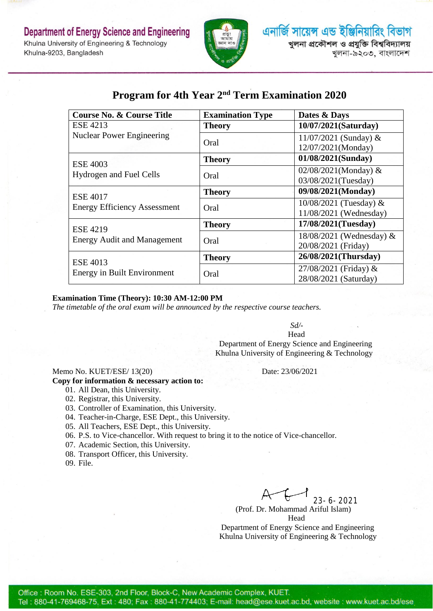

## **Program for 4th Year 2 nd Term Examination 2020**

| <b>Course No. &amp; Course Title</b>                   | <b>Examination Type</b> | Dates & Days             |
|--------------------------------------------------------|-------------------------|--------------------------|
| <b>ESE 4213</b>                                        | <b>Theory</b>           | 10/07/2021(Saturday)     |
| <b>Nuclear Power Engineering</b>                       | Oral                    | 11/07/2021 (Sunday) $&$  |
|                                                        |                         | 12/07/2021(Monday)       |
| <b>ESE 4003</b><br>Hydrogen and Fuel Cells             | <b>Theory</b>           | 01/08/2021(Sunday)       |
|                                                        | Oral                    | 02/08/2021(Monday) $&$   |
|                                                        |                         | 03/08/2021(Tuesday)      |
| <b>ESE 4017</b><br><b>Energy Efficiency Assessment</b> | <b>Theory</b>           | 09/08/2021(Monday)       |
|                                                        | Oral                    | $10/08/2021$ (Tuesday) & |
|                                                        |                         | 11/08/2021 (Wednesday)   |
| <b>ESE 4219</b><br><b>Energy Audit and Management</b>  | <b>Theory</b>           | 17/08/2021(Tuesday)      |
|                                                        | Oral                    | 18/08/2021 (Wednesday) & |
|                                                        |                         | 20/08/2021 (Friday)      |
| <b>ESE 4013</b><br><b>Energy in Built Environment</b>  | <b>Theory</b>           | 26/08/2021(Thursday)     |
|                                                        | Oral                    | 27/08/2021 (Friday) &    |
|                                                        |                         | 28/08/2021 (Saturday)    |

### **Examination Time (Theory): 10:30 AM-12:00 PM**

*The timetable of the oral exam will be announced by the respective course teachers.*

*Sd/-*

Head

 Department of Energy Science and Engineering Khulna University of Engineering & Technology

#### Memo No. KUET/ESE/ 13(20) Date: 23/06/2021

**Copy for information & necessary action to:**

- 01. All Dean, this University.
- 02. Registrar, this University.

03. Controller of Examination, this University.

04. Teacher-in-Charge, ESE Dept., this University.

05. All Teachers, ESE Dept., this University.

06. P.S. to Vice-chancellor. With request to bring it to the notice of Vice-chancellor.

07. Academic Section, this University.

08. Transport Officer, this University.

09. File.

 $A$   $C$   $1$   $23-6-2021$ 

(Prof. Dr. Mohammad Ariful Islam) Head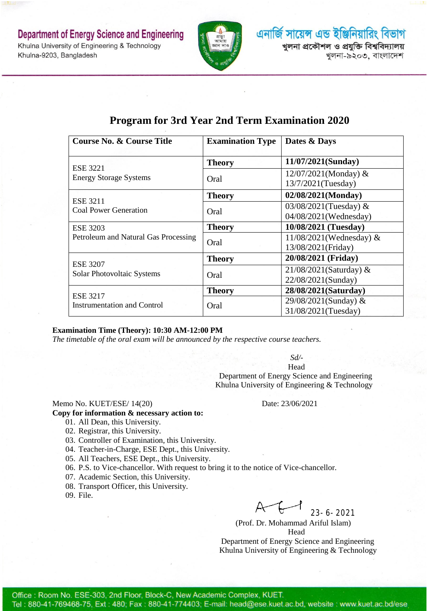**Department of Energy Science and Engineering** Khulna University of Engineering & Technology Khulna-9203, Bangladesh



এনার্জি সায়েন্স এন্ড ইঞ্জিনিয়ারিং বিভাগ খলনা প্ৰকৌশল ও প্ৰযুক্তি বিশ্ববিদ্যালয় খুলনা-৯২০৩, বাংলাদেশ

| <b>Course No. &amp; Course Title</b>                    | <b>Examination Type</b> | Dates & Days               |
|---------------------------------------------------------|-------------------------|----------------------------|
| <b>ESE 3221</b><br><b>Energy Storage Systems</b>        | <b>Theory</b>           | 11/07/2021(Sunday)         |
|                                                         | Oral                    | $12/07/2021$ (Monday) &    |
|                                                         |                         | 13/7/2021(Tuesday)         |
| <b>ESE 3211</b><br><b>Coal Power Generation</b>         | <b>Theory</b>           | 02/08/2021(Monday)         |
|                                                         | Oral                    | 03/08/2021(Tuesday) &      |
|                                                         |                         | 04/08/2021(Wednesday)      |
| <b>ESE 3203</b><br>Petroleum and Natural Gas Processing | <b>Theory</b>           | 10/08/2021 (Tuesday)       |
|                                                         | Oral                    | $11/08/2021$ (Wednesday) & |
|                                                         |                         | 13/08/2021(Friday)         |
| <b>ESE 3207</b><br>Solar Photovoltaic Systems           | <b>Theory</b>           | 20/08/2021 (Friday)        |
|                                                         | Oral                    | $21/08/2021$ (Saturday) &  |
|                                                         |                         | 22/08/2021(Sunday)         |
| <b>ESE 3217</b><br><b>Instrumentation and Control</b>   | <b>Theory</b>           | 28/08/2021(Saturday)       |
|                                                         | Oral                    | 29/08/2021(Sunday) &       |
|                                                         |                         | 31/08/2021(Tuesday)        |

## **Program for 3rd Year 2nd Term Examination 2020**

#### **Examination Time (Theory): 10:30 AM-12:00 PM**

*The timetable of the oral exam will be announced by the respective course teachers.*

*Sd/-*

Head Department of Energy Science and Engineering Khulna University of Engineering & Technology

#### Memo No. KUET/ESE/ 14(20) Date: 23/06/2021

#### **Copy for information & necessary action to:**

- 01. All Dean, this University.
- 02. Registrar, this University.
- 03. Controller of Examination, this University.
- 04. Teacher-in-Charge, ESE Dept., this University.
- 05. All Teachers, ESE Dept., this University.
- 06. P.S. to Vice-chancellor. With request to bring it to the notice of Vice-chancellor.
- 07. Academic Section, this University.
- 08. Transport Officer, this University.

09. File.

23-6-2021

(Prof. Dr. Mohammad Ariful Islam) Head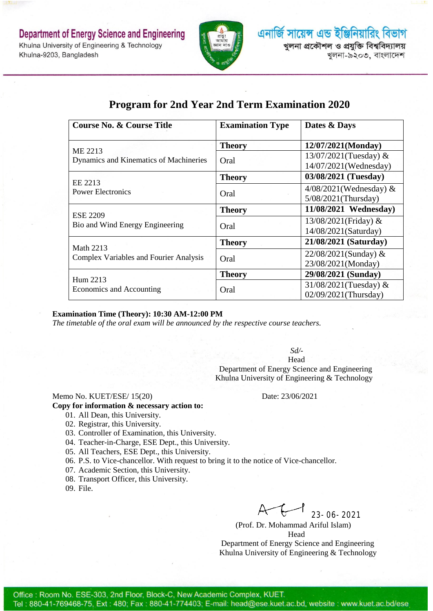

# **Program for 2nd Year 2nd Term Examination 2020**

| <b>Course No. &amp; Course Title</b>                              | <b>Examination Type</b> | Dates & Days              |
|-------------------------------------------------------------------|-------------------------|---------------------------|
| ME 2213<br>Dynamics and Kinematics of Machineries                 | <b>Theory</b>           | 12/07/2021(Monday)        |
|                                                                   | Oral                    | 13/07/2021(Tuesday) $&$   |
|                                                                   |                         | 14/07/2021(Wednesday)     |
| EE 2213<br><b>Power Electronics</b>                               | <b>Theory</b>           | 03/08/2021 (Tuesday)      |
|                                                                   | Oral                    | $4/08/2021$ (Wednesday) & |
|                                                                   |                         | 5/08/2021(Thursday)       |
| <b>ESE 2209</b><br>Bio and Wind Energy Engineering                | <b>Theory</b>           | 11/08/2021 Wednesday)     |
|                                                                   | Oral                    | 13/08/2021(Friday) &      |
|                                                                   |                         | 14/08/2021(Saturday)      |
| <b>Math 2213</b><br><b>Complex Variables and Fourier Analysis</b> | <b>Theory</b>           | 21/08/2021 (Saturday)     |
|                                                                   | Oral                    | $22/08/2021$ (Sunday) &   |
|                                                                   |                         | 23/08/2021(Monday)        |
| Hum 2213<br>Economics and Accounting                              | <b>Theory</b>           | 29/08/2021 (Sunday)       |
|                                                                   | Oral                    | 31/08/2021(Tuesday) &     |
|                                                                   |                         | 02/09/2021(Thursday)      |

#### **Examination Time (Theory): 10:30 AM-12:00 PM**

*The timetable of the oral exam will be announced by the respective course teachers.*

*Sd/-*

Head Department of Energy Science and Engineering Khulna University of Engineering & Technology

#### Memo No. KUET/ESE/ 15(20) Date: 23/06/2021

#### **Copy for information & necessary action to:**

- 01. All Dean, this University.
- 02. Registrar, this University.
- 03. Controller of Examination, this University.
- 04. Teacher-in-Charge, ESE Dept., this University.
- 05. All Teachers, ESE Dept., this University.
- 06. P.S. to Vice-chancellor. With request to bring it to the notice of Vice-chancellor.
- 07. Academic Section, this University.
- 08. Transport Officer, this University.
- 09. File.

23-06-2021

(Prof. Dr. Mohammad Ariful Islam) Head